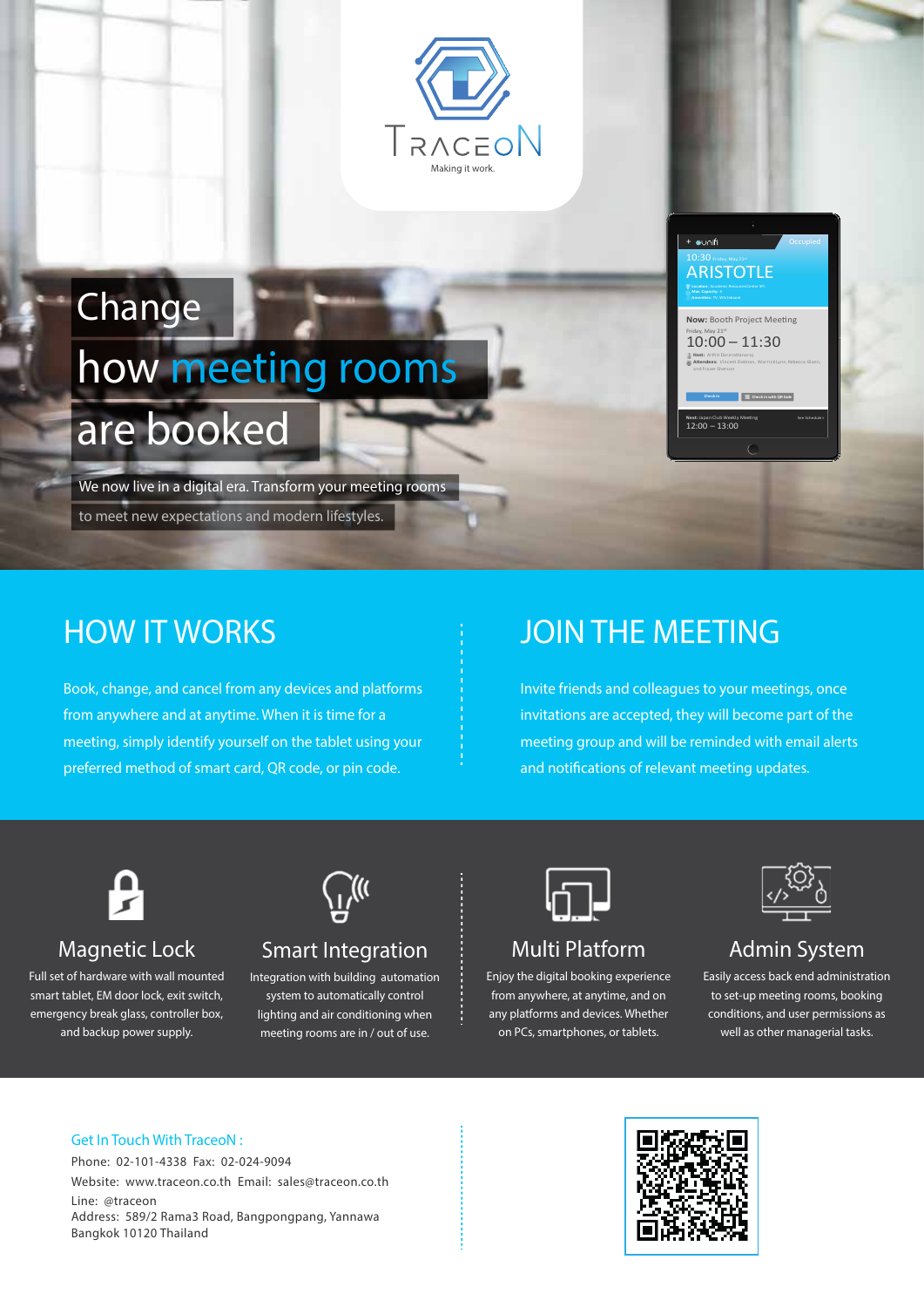

# are booked **Change** how meeting rooms

We now live in a digital era. Transform your meeting rooms to meet new expectations and modern lifestyles.

## **HOW IT WORKS**

Book, change, and cancel from any devices and platforms from anywhere and at anytime. When it is time for a meeting, simply identify yourself on the tablet using your preferred method of smart card, QR code, or pin code.

## **JOIN THE MEETING**

Invite friends and colleagues to your meetings, once invitations are accepted, they will become part of the meeting group and will be reminded with email alerts and notifications of relevant meeting updates.

**Now:** Booth Project Meeting  $10:00 - 11:30$ 

**ARISTOTLE** 

+ ounifi

**Host:** Arthit Dararattanaro

**Check in Check in with QR Code**

**Next:** Japan Club Weekly Meeting See Schedule :<br>12:00 - 13:00

**A�endees:** Vincent Zietman, Warrick Lynn, Rebecca Glenn,



### Magnetic Lock

Full set of hardware with wall mounted smart tablet, EM door lock, exit switch, emergency break glass, controller box, and backup power supply.



## Smart Integration

Integration with building automation system to automatically control lighting and air conditioning when meeting rooms are in / out of use.



## Multi Platform

Enjoy the digital booking experience from anywhere, at anytime, and on any platforms and devices. Whether on PCs, smartphones, or tablets.



### Admin System

Easily access back end administration to set-up meeting rooms, booking conditions, and user permissions as well as other managerial tasks.

#### Get In Touch With TraceoN :

Phone: 02-101-4338 Fax: 02-024-9094 Website: www.traceon.co.th Email: sales@traceon.co.th Line: @traceon Address: 589/2 Rama3 Road, Bangpongpang, Yannawa Bangkok 10120 Thailand